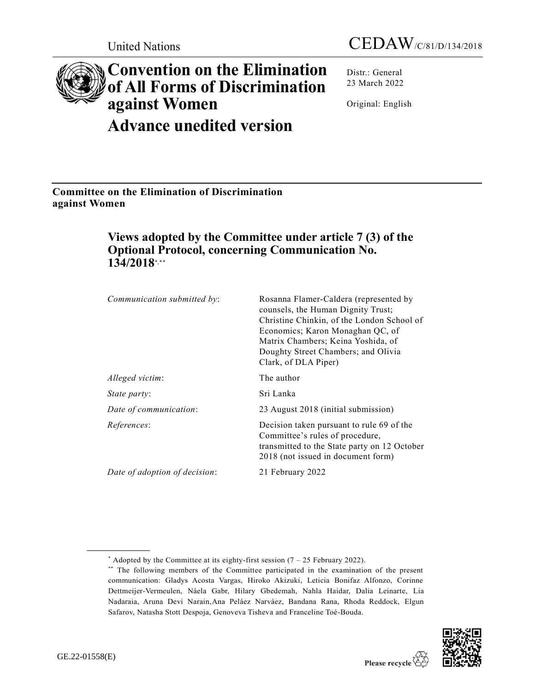# **Convention on the Elimination of All Forms of Discrimination against Women Advance unedited version**

Distr.: General 23 March 2022

Original: English

**Committee on the Elimination of Discrimination against Women**

# **Views adopted by the Committee under article 7 (3) of the Optional Protocol, concerning Communication No. 134/2018**\*,\*\*

| Communication submitted by:   | Rosanna Flamer-Caldera (represented by<br>counsels, the Human Dignity Trust;<br>Christine Chinkin, of the London School of<br>Economics; Karon Monaghan QC, of<br>Matrix Chambers; Keina Yoshida, of<br>Doughty Street Chambers; and Olivia<br>Clark, of DLA Piper) |
|-------------------------------|---------------------------------------------------------------------------------------------------------------------------------------------------------------------------------------------------------------------------------------------------------------------|
| Alleged victim:               | The author                                                                                                                                                                                                                                                          |
| <i>State party:</i>           | Sri Lanka                                                                                                                                                                                                                                                           |
| Date of communication:        | 23 August 2018 (initial submission)                                                                                                                                                                                                                                 |
| References:                   | Decision taken pursuant to rule 69 of the<br>Committee's rules of procedure,<br>transmitted to the State party on 12 October<br>2018 (not issued in document form)                                                                                                  |
| Date of adoption of decision: | 21 February 2022                                                                                                                                                                                                                                                    |

<sup>\*\*</sup> The following members of the Committee participated in the examination of the present communication: Gladys Acosta Vargas, Hiroko Akizuki, Leticia Bonifaz Alfonzo, Corinne Dettmeijer-Vermeulen, Náela Gabr, Hilary Gbedemah, Nahla Haidar, Dalia Leinarte, Lia Nadaraia, Aruna Devi Narain,Ana Peláez Narváez, Bandana Rana, Rhoda Reddock, Elgun Safarov, Natasha Stott Despoja, Genoveva Tisheva and Franceline Toé-Bouda.



<sup>\*</sup> Adopted by the Committee at its eighty-first session  $(7 - 25$  February 2022).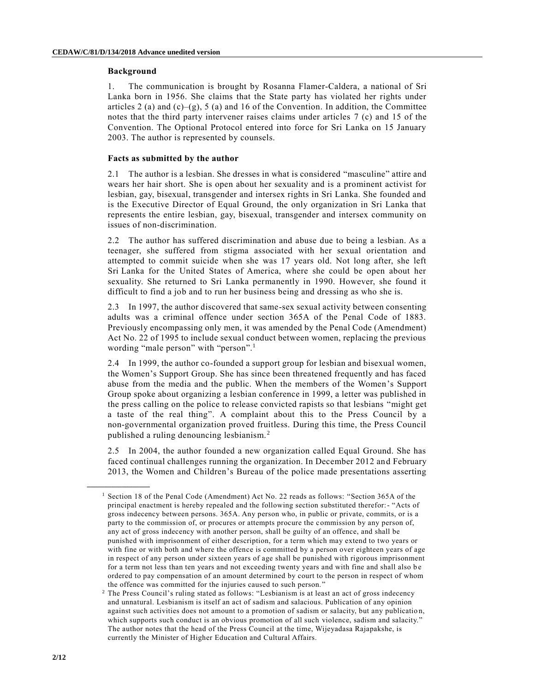#### **Background**

1. The communication is brought by Rosanna Flamer-Caldera, a national of Sri Lanka born in 1956. She claims that the State party has violated her rights under articles 2 (a) and  $(c)$ –(g), 5 (a) and 16 of the Convention. In addition, the Committee notes that the third party intervener raises claims under articles 7 (c) and 15 of the Convention. The Optional Protocol entered into force for Sri Lanka on 15 January 2003. The author is represented by counsels.

# **Facts as submitted by the author**

2.1 The author is a lesbian. She dresses in what is considered "masculine" attire and wears her hair short. She is open about her sexuality and is a prominent activist for lesbian, gay, bisexual, transgender and intersex rights in Sri Lanka. She founded and is the Executive Director of Equal Ground, the only organization in Sri Lanka that represents the entire lesbian, gay, bisexual, transgender and intersex community on issues of non-discrimination.

2.2 The author has suffered discrimination and abuse due to being a lesbian. As a teenager, she suffered from stigma associated with her sexual orientation and attempted to commit suicide when she was 17 years old. Not long after, she left Sri Lanka for the United States of America, where she could be open about her sexuality. She returned to Sri Lanka permanently in 1990. However, she found it difficult to find a job and to run her business being and dressing as who she is.

2.3 In 1997, the author discovered that same-sex sexual activity between consenting adults was a criminal offence under section 365A of the Penal Code of 1883. Previously encompassing only men, it was amended by the Penal Code (Amendment) Act No. 22 of 1995 to include sexual conduct between women, replacing the previous wording "male person" with "person".<sup>1</sup>

2.4 In 1999, the author co-founded a support group for lesbian and bisexual women, the Women's Support Group. She has since been threatened frequently and has faced abuse from the media and the public. When the members of the Women's Support Group spoke about organizing a lesbian conference in 1999, a letter was published in the press calling on the police to release convicted rapists so that lesbians "might get a taste of the real thing". A complaint about this to the Press Council by a non-governmental organization proved fruitless. During this time, the Press Council published a ruling denouncing lesbianism. <sup>2</sup>

2.5 In 2004, the author founded a new organization called Equal Ground. She has faced continual challenges running the organization. In December 2012 and February 2013, the Women and Children's Bureau of the police made presentations asserting

<sup>&</sup>lt;sup>1</sup> Section 18 of the Penal Code (Amendment) Act No. 22 reads as follows: "Section 365A of the principal enactment is hereby repealed and the following section substituted therefor:- "Acts of gross indecency between persons. 365A. Any person who, in public or private, commits, or is a party to the commission of, or procures or attempts procure the commission by any person of, any act of gross indecency with another person, shall be guilty of an offence, and shall be punished with imprisonment of either description, for a term which may extend to two years or with fine or with both and where the offence is committed by a person over eighteen years of age in respect of any person under sixteen years of age shall be punished with rigorous imprisonment for a term not less than ten years and not exceeding twenty years and with fine and shall also be ordered to pay compensation of an amount determined by court to the person in respect of whom the offence was committed for the injuries caused to such person."

<sup>2</sup> The Press Council's ruling stated as follows: "Lesbianism is at least an act of gross indecency and unnatural. Lesbianism is itself an act of sadism and salacious. Publication of any opinion against such activities does not amount to a promotion of sadism or salacity, but any publicatio n, which supports such conduct is an obvious promotion of all such violence, sadism and salacity." The author notes that the head of the Press Council at the time, Wijeyadasa Rajapakshe, is currently the Minister of Higher Education and Cultural Affairs.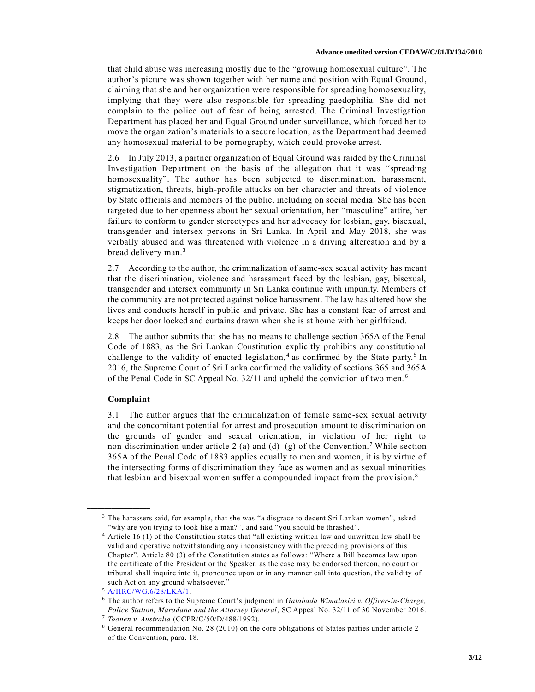that child abuse was increasing mostly due to the "growing homosexual culture". The author's picture was shown together with her name and position with Equal Ground , claiming that she and her organization were responsible for spreading homosexuality, implying that they were also responsible for spreading paedophilia. She did not complain to the police out of fear of being arrested. The Criminal Investigation Department has placed her and Equal Ground under surveillance, which forced her to move the organization's materials to a secure location, as the Department had deemed any homosexual material to be pornography, which could provoke arrest.

2.6 In July 2013, a partner organization of Equal Ground was raided by the Criminal Investigation Department on the basis of the allegation that it was "spreading homosexuality". The author has been subjected to discrimination, harassment, stigmatization, threats, high-profile attacks on her character and threats of violence by State officials and members of the public, including on social media. She has been targeted due to her openness about her sexual orientation, her "masculine" attire, her failure to conform to gender stereotypes and her advocacy for lesbian, gay, bisexual, transgender and intersex persons in Sri Lanka. In April and May 2018, she was verbally abused and was threatened with violence in a driving altercation and by a bread delivery man.<sup>3</sup>

2.7 According to the author, the criminalization of same-sex sexual activity has meant that the discrimination, violence and harassment faced by the lesbian, gay, bisexual, transgender and intersex community in Sri Lanka continue with impunity. Members of the community are not protected against police harassment. The law has altered how she lives and conducts herself in public and private. She has a constant fear of arrest and keeps her door locked and curtains drawn when she is at home with her girlfriend.

2.8 The author submits that she has no means to challenge section 365A of the Penal Code of 1883, as the Sri Lankan Constitution explicitly prohibits any constitutional challenge to the validity of enacted legislation,<sup>4</sup> as confirmed by the State party.<sup>5</sup> In 2016, the Supreme Court of Sri Lanka confirmed the validity of sections 365 and 365A of the Penal Code in SC Appeal No. 32/11 and upheld the conviction of two men. <sup>6</sup>

# **Complaint**

**\_\_\_\_\_\_\_\_\_\_\_\_\_\_\_\_\_\_**

3.1 The author argues that the criminalization of female same-sex sexual activity and the concomitant potential for arrest and prosecution amount to discrimination on the grounds of gender and sexual orientation, in violation of her right to non-discrimination under article 2 (a) and  $(d)$ –(g) of the Convention.<sup>7</sup> While section 365A of the Penal Code of 1883 applies equally to men and women, it is by virtue of the intersecting forms of discrimination they face as women and as sexual minorities that lesbian and bisexual women suffer a compounded impact from the provision.<sup>8</sup>

<sup>3</sup> The harassers said, for example, that she was "a disgrace to decent Sri Lankan women", asked "why are you trying to look like a man?", and said "you should be thrashed".

<sup>4</sup> Article 16 (1) of the Constitution states that "all existing written law and unwritten law shall be valid and operative notwithstanding any inconsistency with the preceding provisions of this Chapter". Article 80 (3) of the Constitution states as follows: "Where a Bill becomes law upon the certificate of the President or the Speaker, as the case may be endorsed thereon, no court o r tribunal shall inquire into it, pronounce upon or in any manner call into question, the validity of such Act on any ground whatsoever."

<sup>5</sup> [A/HRC/WG.6/28/LKA/1.](https://undocs.org/en/A/HRC/WG.6/28/LKA/1)

<sup>6</sup> The author refers to the Supreme Court's judgment in *Galabada Wimalasiri v. Officer-in-Charge, Police Station, Maradana and the Attorney General*, SC Appeal No. 32/11 of 30 November 2016. <sup>7</sup> *Toonen v. Australia* (CCPR/C/50/D/488/1992).

<sup>8</sup> General recommendation No. 28 (2010) on the core obligations of States parties under article 2 of the Convention, para. 18.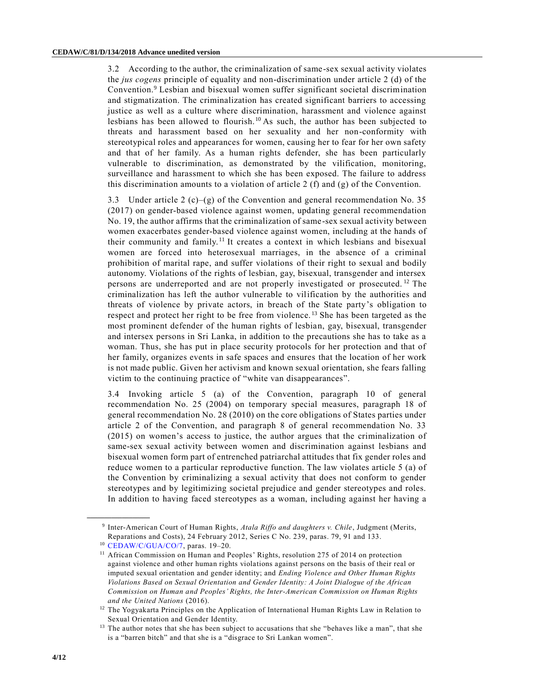3.2 According to the author, the criminalization of same-sex sexual activity violates the *jus cogens* principle of equality and non-discrimination under article 2 (d) of the Convention.<sup>9</sup> Lesbian and bisexual women suffer significant societal discrimination and stigmatization. The criminalization has created significant barriers to accessing justice as well as a culture where discrimination, harassment and violence against lesbians has been allowed to flourish.<sup>10</sup> As such, the author has been subjected to threats and harassment based on her sexuality and her non-conformity with stereotypical roles and appearances for women, causing her to fear for her own safety and that of her family. As a human rights defender, she has been particularly vulnerable to discrimination, as demonstrated by the vilification, monitoring, surveillance and harassment to which she has been exposed. The failure to address this discrimination amounts to a violation of article 2 (f) and (g) of the Convention.

3.3 Under article 2 (c)–(g) of the Convention and general recommendation No. 35 (2017) on gender-based violence against women, updating general recommendation No. 19, the author affirms that the criminalization of same-sex sexual activity between women exacerbates gender-based violence against women, including at the hands of their community and family.<sup>11</sup> It creates a context in which lesbians and bisexual women are forced into heterosexual marriages, in the absence of a criminal prohibition of marital rape, and suffer violations of their right to sexual and bodily autonomy. Violations of the rights of lesbian, gay, bisexual, transgender and intersex persons are underreported and are not properly investigated or prosecuted.<sup>12</sup> The criminalization has left the author vulnerable to vilification by the authorities and threats of violence by private actors, in breach of the State party's obligation to respect and protect her right to be free from violence. <sup>13</sup> She has been targeted as the most prominent defender of the human rights of lesbian, gay, bisexual, transgender and intersex persons in Sri Lanka, in addition to the precautions she has to take as a woman. Thus, she has put in place security protocols for her protection and that of her family, organizes events in safe spaces and ensures that the location of her work is not made public. Given her activism and known sexual orientation, she fears falling victim to the continuing practice of "white van disappearances".

3.4 Invoking article 5 (a) of the Convention, paragraph 10 of general recommendation No. 25 (2004) on temporary special measures, paragraph 18 of general recommendation No. 28 (2010) on the core obligations of States parties under article 2 of the Convention, and paragraph 8 of general recommendation No. 33 (2015) on women's access to justice, the author argues that the criminalization of same-sex sexual activity between women and discrimination against lesbians and bisexual women form part of entrenched patriarchal attitudes that fix gender roles and reduce women to a particular reproductive function. The law violates article 5 (a) of the Convention by criminalizing a sexual activity that does not conform to gender stereotypes and by legitimizing societal prejudice and gender stereotypes and roles. In addition to having faced stereotypes as a woman, including against her having a

<sup>9</sup> Inter-American Court of Human Rights, *Atala Riffo and daughters v. Chile*, Judgment (Merits, Reparations and Costs), 24 February 2012, Series C No. 239, paras. 79, 91 and 133.

<sup>10</sup> [CEDAW/C/GUA/CO/7,](https://undocs.org/en/CEDAW/C/GUA/CO/7) paras. 19–20.

<sup>&</sup>lt;sup>11</sup> African Commission on Human and Peoples' Rights, resolution 275 of 2014 on protection against violence and other human rights violations against persons on the basis of their real or imputed sexual orientation and gender identity; and *Ending Violence and Other Human Rights Violations Based on Sexual Orientation and Gender Identity: A Joint Dialogue of the African Commission on Human and Peoples' Rights, the Inter-American Commission on Human Rights and the United Nations* (2016).

<sup>&</sup>lt;sup>12</sup> The Yogyakarta Principles on the Application of International Human Rights Law in Relation to Sexual Orientation and Gender Identity.

<sup>&</sup>lt;sup>13</sup> The author notes that she has been subject to accusations that she "behaves like a man", that she is a "barren bitch" and that she is a "disgrace to Sri Lankan women".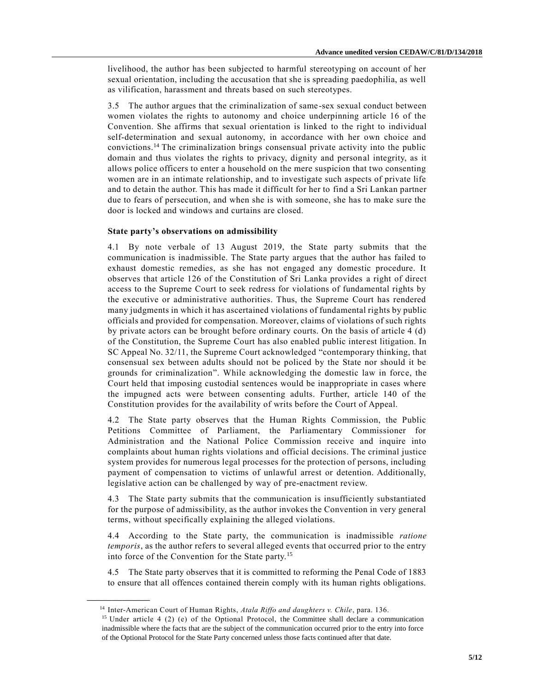livelihood, the author has been subjected to harmful stereotyping on account of her sexual orientation, including the accusation that she is spreading paedophilia, as well as vilification, harassment and threats based on such stereotypes.

3.5 The author argues that the criminalization of same-sex sexual conduct between women violates the rights to autonomy and choice underpinning article 16 of the Convention. She affirms that sexual orientation is linked to the right to individual self-determination and sexual autonomy, in accordance with her own choice and convictions.<sup>14</sup> The criminalization brings consensual private activity into the public domain and thus violates the rights to privacy, dignity and personal integrity, as it allows police officers to enter a household on the mere suspicion that two consenting women are in an intimate relationship, and to investigate such aspects of private life and to detain the author. This has made it difficult for her to find a Sri Lankan partner due to fears of persecution, and when she is with someone, she has to make sure the door is locked and windows and curtains are closed.

# **State party's observations on admissibility**

4.1 By note verbale of 13 August 2019, the State party submits that the communication is inadmissible. The State party argues that the author has failed to exhaust domestic remedies, as she has not engaged any domestic procedure. It observes that article 126 of the Constitution of Sri Lanka provides a right of direct access to the Supreme Court to seek redress for violations of fundamental rights by the executive or administrative authorities. Thus, the Supreme Court has rendered many judgments in which it has ascertained violations of fundamental rights by public officials and provided for compensation. Moreover, claims of violations of such rights by private actors can be brought before ordinary courts. On the basis of article 4 (d) of the Constitution, the Supreme Court has also enabled public inter est litigation. In SC Appeal No. 32/11, the Supreme Court acknowledged "contemporary thinking, that consensual sex between adults should not be policed by the State nor should it be grounds for criminalization". While acknowledging the domestic law in force, the Court held that imposing custodial sentences would be inappropriate in cases where the impugned acts were between consenting adults. Further, article 140 of the Constitution provides for the availability of writs before the Court of Appeal.

4.2 The State party observes that the Human Rights Commission, the Public Petitions Committee of Parliament, the Parliamentary Commissioner for Administration and the National Police Commission receive and inquire into complaints about human rights violations and official decisions. The criminal justice system provides for numerous legal processes for the protection of persons, including payment of compensation to victims of unlawful arrest or detention. Additionally, legislative action can be challenged by way of pre-enactment review.

4.3 The State party submits that the communication is insufficiently substantiated for the purpose of admissibility, as the author invokes the Convention in very general terms, without specifically explaining the alleged violations.

4.4 According to the State party, the communication is inadmissible *ratione temporis*, as the author refers to several alleged events that occurred prior to the entry into force of the Convention for the State party.<sup>15</sup>

4.5 The State party observes that it is committed to reforming the Penal Code of 1883 to ensure that all offences contained therein comply with its human rights obligations.

<sup>14</sup> Inter-American Court of Human Rights, *Atala Riffo and daughters v. Chile*, para. 136.

<sup>&</sup>lt;sup>15</sup> Under article 4 (2) (e) of the Optional Protocol, the Committee shall declare a communication inadmissible where the facts that are the subject of the communication occurred prior to the entry into force of the Optional Protocol for the State Party concerned unless those facts continued after that date.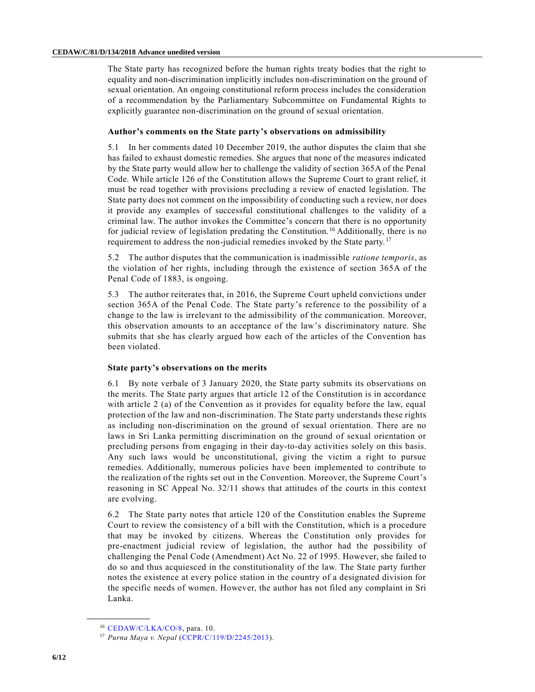The State party has recognized before the human rights treaty bodies that the right to equality and non-discrimination implicitly includes non-discrimination on the ground of sexual orientation. An ongoing constitutional reform process includes the consideration of a recommendation by the Parliamentary Subcommittee on Fundamental Rights to explicitly guarantee non-discrimination on the ground of sexual orientation.

#### **Author's comments on the State party's observations on admissibility**

5.1 In her comments dated 10 December 2019, the author disputes the claim that she has failed to exhaust domestic remedies. She argues that none of the measures indicated by the State party would allow her to challenge the validity of section 365A of the Penal Code. While article 126 of the Constitution allows the Supreme Court to grant relief, it must be read together with provisions precluding a review of enacted legislation. The State party does not comment on the impossibility of conducting such a review, nor does it provide any examples of successful constitutional challenges to the validity of a criminal law. The author invokes the Committee's concern that there is no opportunity for judicial review of legislation predating the Constitution. <sup>16</sup> Additionally, there is no requirement to address the non-judicial remedies invoked by the State party.<sup>17</sup>

5.2 The author disputes that the communication is inadmissible *ratione temporis*, as the violation of her rights, including through the existence of section 365A of the Penal Code of 1883, is ongoing.

5.3 The author reiterates that, in 2016, the Supreme Court upheld convictions under section 365A of the Penal Code. The State party's reference to the possibility of a change to the law is irrelevant to the admissibility of the communication. Moreover, this observation amounts to an acceptance of the law's discriminatory nature. She submits that she has clearly argued how each of the articles of the Convention has been violated.

## **State party's observations on the merits**

6.1 By note verbale of 3 January 2020, the State party submits its observations on the merits. The State party argues that article 12 of the Constitution is in accordance with article 2 (a) of the Convention as it provides for equality before the law, equal protection of the law and non-discrimination. The State party understands these rights as including non-discrimination on the ground of sexual orientation. There are no laws in Sri Lanka permitting discrimination on the ground of sexual orientation or precluding persons from engaging in their day-to-day activities solely on this basis. Any such laws would be unconstitutional, giving the victim a right to pursue remedies. Additionally, numerous policies have been implemented to contribute to the realization of the rights set out in the Convention. Moreover, the Supreme Court's reasoning in SC Appeal No. 32/11 shows that attitudes of the courts in this context are evolving.

6.2 The State party notes that article 120 of the Constitution enables the Supreme Court to review the consistency of a bill with the Constitution, which is a procedure that may be invoked by citizens. Whereas the Constitution only provides for pre-enactment judicial review of legislation, the author had the possibility of challenging the Penal Code (Amendment) Act No. 22 of 1995. However, she failed to do so and thus acquiesced in the constitutionality of the law. The State party further notes the existence at every police station in the country of a designated division for the specific needs of women. However, the author has not filed any complaint in Sri Lanka.

<sup>16</sup> [CEDAW/C/LKA/CO/8,](https://undocs.org/en/CEDAW/C/LKA/CO/8) para. 10.

<sup>17</sup> *Purna Maya v. Nepal* [\(CCPR/C/119/D/2245/2013\)](https://undocs.org/en/CCPR/C/119/D/2245/2013).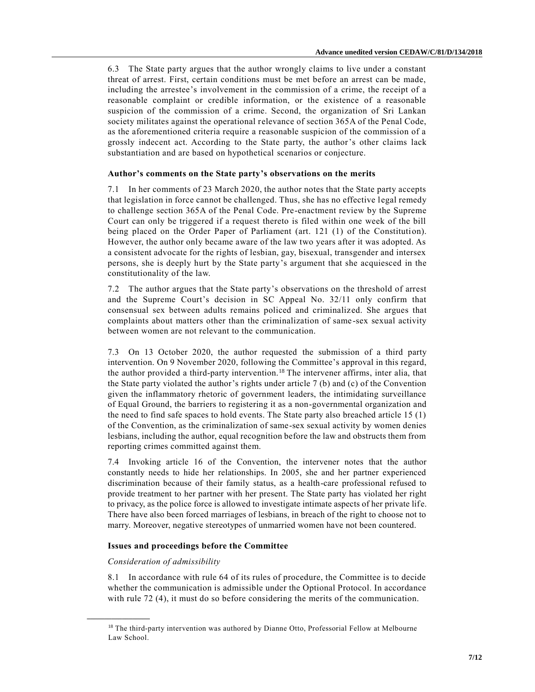6.3 The State party argues that the author wrongly claims to live under a constant threat of arrest. First, certain conditions must be met before an arrest can be made, including the arrestee's involvement in the commission of a crime, the receipt of a reasonable complaint or credible information, or the existence of a reasonable suspicion of the commission of a crime. Second, the organization of Sri Lankan society militates against the operational relevance of section 365A of the Penal Code, as the aforementioned criteria require a reasonable suspicion of the commission of a grossly indecent act. According to the State party, the author's other claims lack substantiation and are based on hypothetical scenarios or conjecture.

# **Author's comments on the State party's observations on the merits**

7.1 In her comments of 23 March 2020, the author notes that the State party accepts that legislation in force cannot be challenged. Thus, she has no effective legal remedy to challenge section 365A of the Penal Code. Pre-enactment review by the Supreme Court can only be triggered if a request thereto is filed within one week of the bill being placed on the Order Paper of Parliament (art. 121 (1) of the Constitution). However, the author only became aware of the law two years after it was adopted. As a consistent advocate for the rights of lesbian, gay, bisexual, transgender and intersex persons, she is deeply hurt by the State party's argument that she acquiesced in the constitutionality of the law.

7.2 The author argues that the State party's observations on the threshold of arrest and the Supreme Court's decision in SC Appeal No. 32/11 only confirm that consensual sex between adults remains policed and criminalized. She argues that complaints about matters other than the criminalization of same -sex sexual activity between women are not relevant to the communication.

7.3 On 13 October 2020, the author requested the submission of a third party intervention. On 9 November 2020, following the Committee's approval in this regard, the author provided a third-party intervention.<sup>18</sup> The intervener affirms, inter alia, that the State party violated the author's rights under article 7 (b) and (c) of the Convention given the inflammatory rhetoric of government leaders, the intimidating surveillance of Equal Ground, the barriers to registering it as a non-governmental organization and the need to find safe spaces to hold events. The State party also breached article 15 (1) of the Convention, as the criminalization of same-sex sexual activity by women denies lesbians, including the author, equal recognition before the law and obstructs them from reporting crimes committed against them.

7.4 Invoking article 16 of the Convention, the intervener notes that the author constantly needs to hide her relationships. In 2005, she and her partner experienced discrimination because of their family status, as a health-care professional refused to provide treatment to her partner with her present. The State party has violated her right to privacy, as the police force is allowed to investigate intimate aspects of her private life. There have also been forced marriages of lesbians, in breach of the right to choose not to marry. Moreover, negative stereotypes of unmarried women have not been countered.

# **Issues and proceedings before the Committee**

## *Consideration of admissibility*

**\_\_\_\_\_\_\_\_\_\_\_\_\_\_\_\_\_\_**

8.1 In accordance with rule 64 of its rules of procedure, the Committee is to decide whether the communication is admissible under the Optional Protocol. In accordance with rule 72 (4), it must do so before considering the merits of the communication.

<sup>&</sup>lt;sup>18</sup> The third-party intervention was authored by Dianne Otto, Professorial Fellow at Melbourne Law School.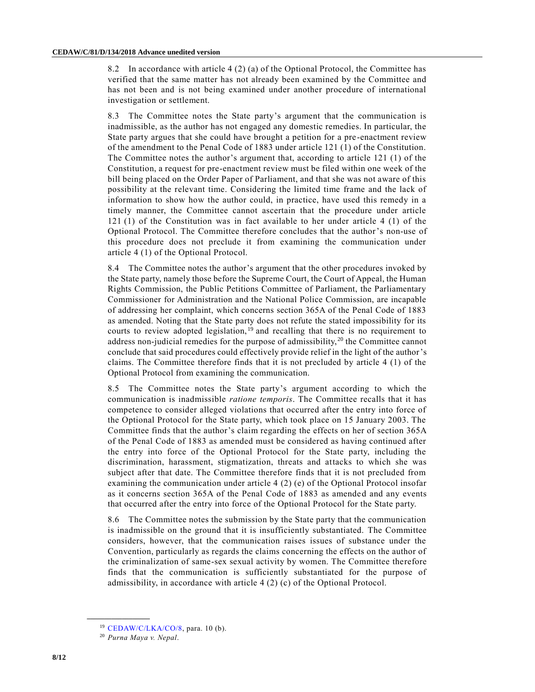8.2 In accordance with article 4 (2) (a) of the Optional Protocol, the Committee has verified that the same matter has not already been examined by the Committee and has not been and is not being examined under another procedure of international investigation or settlement.

8.3 The Committee notes the State party's argument that the communication is inadmissible, as the author has not engaged any domestic remedies. In particular, the State party argues that she could have brought a petition for a pre -enactment review of the amendment to the Penal Code of 1883 under article 121 (1) of the Constitution. The Committee notes the author's argument that, according to article 121 (1) of the Constitution, a request for pre-enactment review must be filed within one week of the bill being placed on the Order Paper of Parliament, and that she was not aware of this possibility at the relevant time. Considering the limited time frame and the lack of information to show how the author could, in practice, have used this remedy in a timely manner, the Committee cannot ascertain that the procedure under article 121 (1) of the Constitution was in fact available to her under article 4 (1) of the Optional Protocol. The Committee therefore concludes that the author's non-use of this procedure does not preclude it from examining the communication under article 4 (1) of the Optional Protocol.

8.4 The Committee notes the author's argument that the other procedures invoked by the State party, namely those before the Supreme Court, the Court of Appeal, the Human Rights Commission, the Public Petitions Committee of Parliament, the Parliamentary Commissioner for Administration and the National Police Commission, are incapable of addressing her complaint, which concerns section 365A of the Penal Code of 1883 as amended. Noting that the State party does not refute the stated impossibility for its courts to review adopted legislation,<sup>19</sup> and recalling that there is no requirement to address non-judicial remedies for the purpose of admissibility, <sup>20</sup> the Committee cannot conclude that said procedures could effectively provide relief in the light of the author's claims. The Committee therefore finds that it is not precluded by article 4 (1) of the Optional Protocol from examining the communication.

8.5 The Committee notes the State party's argument according to which the communication is inadmissible *ratione temporis*. The Committee recalls that it has competence to consider alleged violations that occurred after the entry into force of the Optional Protocol for the State party, which took place on 15 January 2003. The Committee finds that the author's claim regarding the effects on her of section 365A of the Penal Code of 1883 as amended must be considered as having continued after the entry into force of the Optional Protocol for the State party, including the discrimination, harassment, stigmatization, threats and attacks to which she was subject after that date. The Committee therefore finds that it is not precluded from examining the communication under article 4 (2) (e) of the Optional Protocol insofar as it concerns section 365A of the Penal Code of 1883 as amended and any events that occurred after the entry into force of the Optional Protocol for the State party.

8.6 The Committee notes the submission by the State party that the communication is inadmissible on the ground that it is insufficiently substantiated. The Committee considers, however, that the communication raises issues of substance under the Convention, particularly as regards the claims concerning the effects on the author of the criminalization of same-sex sexual activity by women. The Committee therefore finds that the communication is sufficiently substantiated for the purpose of admissibility, in accordance with article 4 (2) (c) of the Optional Protocol.

<sup>19</sup> [CEDAW/C/LKA/CO/8,](https://undocs.org/en/CEDAW/C/LKA/CO/8) para. 10 (b).

<sup>20</sup> *Purna Maya v. Nepal*.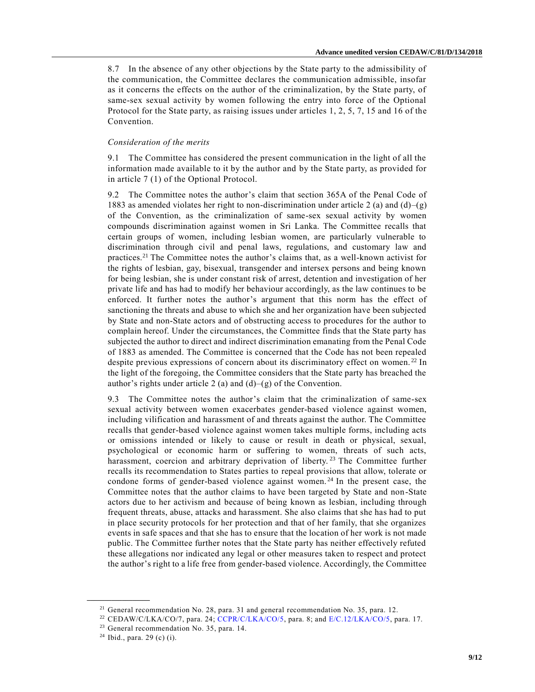8.7 In the absence of any other objections by the State party to the admissibility of the communication, the Committee declares the communication admissible, insofar as it concerns the effects on the author of the criminalization, by the State party, of same-sex sexual activity by women following the entry into force of the Optional Protocol for the State party, as raising issues under articles 1, 2, 5, 7, 15 and 16 of the Convention.

#### *Consideration of the merits*

9.1 The Committee has considered the present communication in the light of all the information made available to it by the author and by the State party, as provided for in article 7 (1) of the Optional Protocol.

9.2 The Committee notes the author's claim that section 365A of the Penal Code of 1883 as amended violates her right to non-discrimination under article 2 (a) and (d)–(g) of the Convention, as the criminalization of same-sex sexual activity by women compounds discrimination against women in Sri Lanka. The Committee recalls that certain groups of women, including lesbian women, are particularly vulnerable to discrimination through civil and penal laws, regulations, and customary law and practices.<sup>21</sup> The Committee notes the author's claims that, as a well-known activist for the rights of lesbian, gay, bisexual, transgender and intersex persons and being known for being lesbian, she is under constant risk of arrest, detention and investigation of her private life and has had to modify her behaviour accordingly, as the law continues to be enforced. It further notes the author's argument that this norm has the effect of sanctioning the threats and abuse to which she and her organization have been subjected by State and non-State actors and of obstructing access to procedures for the author to complain hereof. Under the circumstances, the Committee finds that the State party has subjected the author to direct and indirect discrimination emanating from the Penal Code of 1883 as amended. The Committee is concerned that the Code has not been repealed despite previous expressions of concern about its discriminatory effect on women.<sup>22</sup> In the light of the foregoing, the Committee considers that the State party has breached the author's rights under article 2 (a) and (d)–(g) of the Convention.

9.3 The Committee notes the author's claim that the criminalization of same-sex sexual activity between women exacerbates gender-based violence against women, including vilification and harassment of and threats against the author. The Committee recalls that gender-based violence against women takes multiple forms, including acts or omissions intended or likely to cause or result in death or physical, sexual, psychological or economic harm or suffering to women, threats of such acts, harassment, coercion and arbitrary deprivation of liberty.<sup>23</sup> The Committee further recalls its recommendation to States parties to repeal provisions that allow, tolerate or condone forms of gender-based violence against women.<sup>24</sup> In the present case, the Committee notes that the author claims to have been targeted by State and non-State actors due to her activism and because of being known as lesbian, including through frequent threats, abuse, attacks and harassment. She also claims that she has had to put in place security protocols for her protection and that of her family, that she organizes events in safe spaces and that she has to ensure that the location of her work is not made public. The Committee further notes that the State party has neither effectively refuted these allegations nor indicated any legal or other measures taken to respect and protect the author's right to a life free from gender-based violence. Accordingly, the Committee

<sup>&</sup>lt;sup>21</sup> General recommendation No. 28, para. 31 and general recommendation No. 35, para. 12.

<sup>&</sup>lt;sup>22</sup> CEDAW/C/LKA/CO/7, para. 24; [CCPR/C/LKA/CO/5,](https://undocs.org/en/CCPR/C/LKA/CO/5) para. 8; and [E/C.12/LKA/CO/5,](https://undocs.org/en/E/C.12/LKA/CO/5) para. 17.

<sup>&</sup>lt;sup>23</sup> General recommendation No. 35, para. 14.

 $24$  Ibid., para. 29 (c) (i).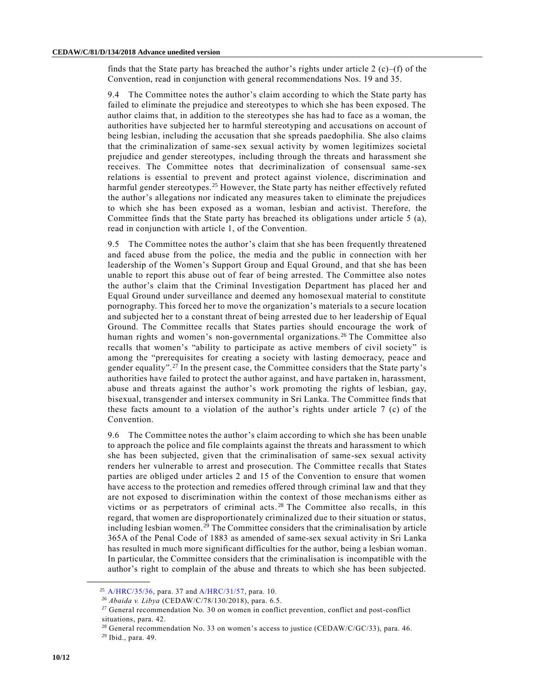finds that the State party has breached the author's rights under article 2  $(c)$ –(f) of the Convention, read in conjunction with general recommendations Nos. 19 and 35.

9.4 The Committee notes the author's claim according to which the State party has failed to eliminate the prejudice and stereotypes to which she has been exposed. The author claims that, in addition to the stereotypes she has had to face as a woman, the authorities have subjected her to harmful stereotyping and accusations on account of being lesbian, including the accusation that she spreads paedophilia. She also claims that the criminalization of same-sex sexual activity by women legitimizes societal prejudice and gender stereotypes, including through the threats and harassment she receives. The Committee notes that decriminalization of consensual same -sex relations is essential to prevent and protect against violence, discrimination and harmful gender stereotypes.<sup>25</sup> However, the State party has neither effectively refuted the author's allegations nor indicated any measures taken to eliminate the prejudices to which she has been exposed as a woman, lesbian and activist. Therefore, the Committee finds that the State party has breached its obligations under article 5 (a), read in conjunction with article 1, of the Convention.

9.5 The Committee notes the author's claim that she has been frequently threatened and faced abuse from the police, the media and the public in connection with her leadership of the Women's Support Group and Equal Ground, and that she has been unable to report this abuse out of fear of being arrested. The Committee also notes the author's claim that the Criminal Investigation Department has placed her and Equal Ground under surveillance and deemed any homosexual material to constitute pornography. This forced her to move the organization's materials to a secure location and subjected her to a constant threat of being arrested due to her leadership of Equal Ground. The Committee recalls that States parties should encourage the work of human rights and women's non-governmental organizations.<sup>26</sup> The Committee also recalls that women's "ability to participate as active members of civil society" is among the "prerequisites for creating a society with lasting democracy, peace and gender equality".<sup>27</sup> In the present case, the Committee considers that the State party's authorities have failed to protect the author against, and have partaken in, harassment, abuse and threats against the author's work promoting the rights of lesbian, gay, bisexual, transgender and intersex community in Sri Lanka. The Committee finds that these facts amount to a violation of the author's rights under article  $7$  (c) of the Convention.

9.6 The Committee notes the author's claim according to which she has been unable to approach the police and file complaints against the threats and harassment to which she has been subjected, given that the criminalisation of same-sex sexual activity renders her vulnerable to arrest and prosecution. The Committee recalls that States parties are obliged under articles 2 and 15 of the Convention to ensure that women have access to the protection and remedies offered through criminal law and that they are not exposed to discrimination within the context of those mechanisms either as victims or as perpetrators of criminal acts. 28 The Committee also recalls, in this regard, that women are disproportionately criminalized due to their situation or status, including lesbian women.<sup>29</sup> The Committee considers that the criminalisation by article 365A of the Penal Code of 1883 as amended of same-sex sexual activity in Sri Lanka has resulted in much more significant difficulties for the author, being a lesbian woman. In particular, the Committee considers that the criminalisation is incompatible with the author's right to complain of the abuse and threats to which she has been subjected.

<sup>25</sup> [A/HRC/35/36,](https://undocs.org/en/A/HRC/35/36) para. 37 and [A/HRC/31/57,](https://undocs.org/en/A/HRC/31/57) para. 10.

<sup>26</sup> *Abaida v. Libya* (CEDAW/C/78/130/2018), para. 6.5.

<sup>&</sup>lt;sup>27</sup> General recommendation No. 30 on women in conflict prevention, conflict and post-conflict situations, para. 42.

<sup>&</sup>lt;sup>28</sup> General recommendation No. 33 on women's access to justice (CEDAW/C/GC/33), para. 46. <sup>29</sup> Ibid., para. 49.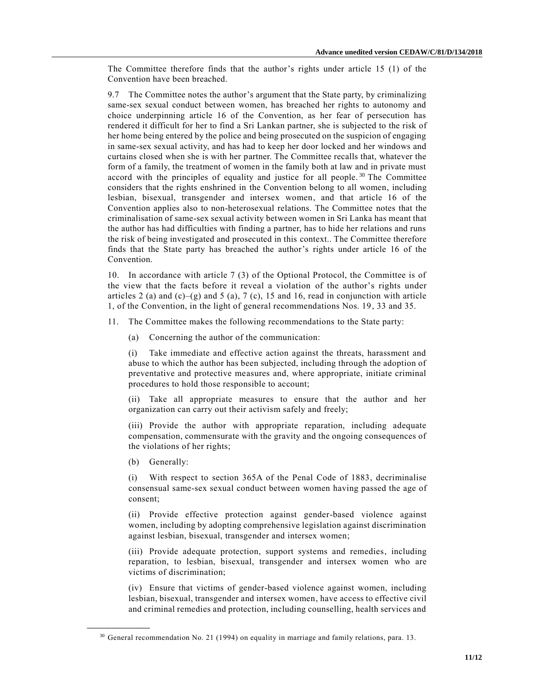The Committee therefore finds that the author's rights under article 15 (1) of the Convention have been breached.

9.7 The Committee notes the author's argument that the State party, by criminalizing same-sex sexual conduct between women, has breached her rights to autonomy and choice underpinning article 16 of the Convention, as her fear of persecution has rendered it difficult for her to find a Sri Lankan partner, she is subjected to the risk of her home being entered by the police and being prosecuted on the suspicion of engaging in same-sex sexual activity, and has had to keep her door locked and her windows and curtains closed when she is with her partner. The Committee recalls that, whatever the form of a family, the treatment of women in the family both at law and in private must accord with the principles of equality and justice for all people.<sup>30</sup> The Committee considers that the rights enshrined in the Convention belong to all women, including lesbian, bisexual, transgender and intersex women, and that article 16 of the Convention applies also to non-heterosexual relations. The Committee notes that the criminalisation of same-sex sexual activity between women in Sri Lanka has meant that the author has had difficulties with finding a partner, has to hide her relations and runs the risk of being investigated and prosecuted in this context.. The Committee therefore finds that the State party has breached the author's rights under article 16 of the Convention.

10. In accordance with article 7 (3) of the Optional Protocol, the Committee is of the view that the facts before it reveal a violation of the author's rights under articles 2 (a) and (c)–(g) and 5 (a), 7 (c), 15 and 16, read in conjunction with article 1, of the Convention, in the light of general recommendations Nos. 19, 33 and 35.

11. The Committee makes the following recommendations to the State party:

(a) Concerning the author of the communication:

(i) Take immediate and effective action against the threats, harassment and abuse to which the author has been subjected, including through the adoption of preventative and protective measures and, where appropriate, initiate criminal procedures to hold those responsible to account;

(ii) Take all appropriate measures to ensure that the author and her organization can carry out their activism safely and freely;

(iii) Provide the author with appropriate reparation, including adequate compensation, commensurate with the gravity and the ongoing consequences of the violations of her rights;

(b) Generally:

**\_\_\_\_\_\_\_\_\_\_\_\_\_\_\_\_\_\_**

(i) With respect to section 365A of the Penal Code of 1883, decriminalise consensual same-sex sexual conduct between women having passed the age of consent;

(ii) Provide effective protection against gender-based violence against women, including by adopting comprehensive legislation against discrimination against lesbian, bisexual, transgender and intersex women;

(iii) Provide adequate protection, support systems and remedies, including reparation, to lesbian, bisexual, transgender and intersex women who are victims of discrimination;

(iv) Ensure that victims of gender-based violence against women, including lesbian, bisexual, transgender and intersex women, have access to effective civil and criminal remedies and protection, including counselling, health services and

 $30$  General recommendation No. 21 (1994) on equality in marriage and family relations, para. 13.